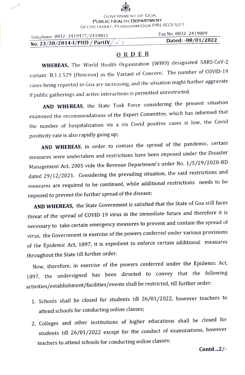## GOVERNMENT OF GOA, PUBLIC HEALTH DEPARTMENT SECRETARIAT, PORVORIM-GOA PIN 403 521

| Telephone: 0832-2419477/2419811     | Fax No: 0832- 2419809 |
|-------------------------------------|-----------------------|
| No. 23/20/2014-I/PHD / PartIV/ $63$ | Dated: -08/01/2022    |
|                                     |                       |

## O RD ER

WHEREAS, The World Health Organization (WHO) designated SARS-CoV-2 variant: B.1.1.529 (Omicron) as the Variant of Concern. The number of COVID-19 cases being reported in Goa are increasing, and the situation might further aggravate if public gatherings and active interactions is permitted unrestricted.

AND WHEREAS, the State Task Force considering the present situation examined the recommendations of the Expert Committee, which has informed that the number of hospitalization vis a vis Covid positive cases is low, the Covid positivity rate is also rapidly going up;

AND WHEREAS, in order to contain the spread of the pandemic, certain measures were undertaken and restrictions have been imposed under the Disaster Management Act, 2005 vide the Revenue Department's order No. 1/5/29/2020-RD dated 29/12/2021. Considering the prevailing situation, the said restrictions and measures are required to be continued, while additional restrictions needs to be imposed to prevent the further spread of the disease;

AND WHEREAS, the State Government is satisfied that the State of Goa still faces threat of the spread of COVID-19 virus in the immediate future and therefore it is necessary to take certain emergency measures to prevent and contain the spread of virus, the Government in exercise of the powers conferred under various provisions of the Epidemic Act, 1897, it is expedient to enforce certain additional measures throughout the State till further order.

Now, therefore, in exercise of the powers conferred under the Epidemic Act, 1897, the undersigned has been directed to convey that the following activities/establishment/facilities/events shall be restricted, till further order:

- 1. Schools shall be closed for students till 26/01/2022, however teachers to attend schools for conducting online classes;
- 2. Colleges and other institutions of higher educations shall be closed for students till 26/01/2022 except for the conduct of examinations, however teachers to attend schools for conducting online classes;

Contd... $2/-$